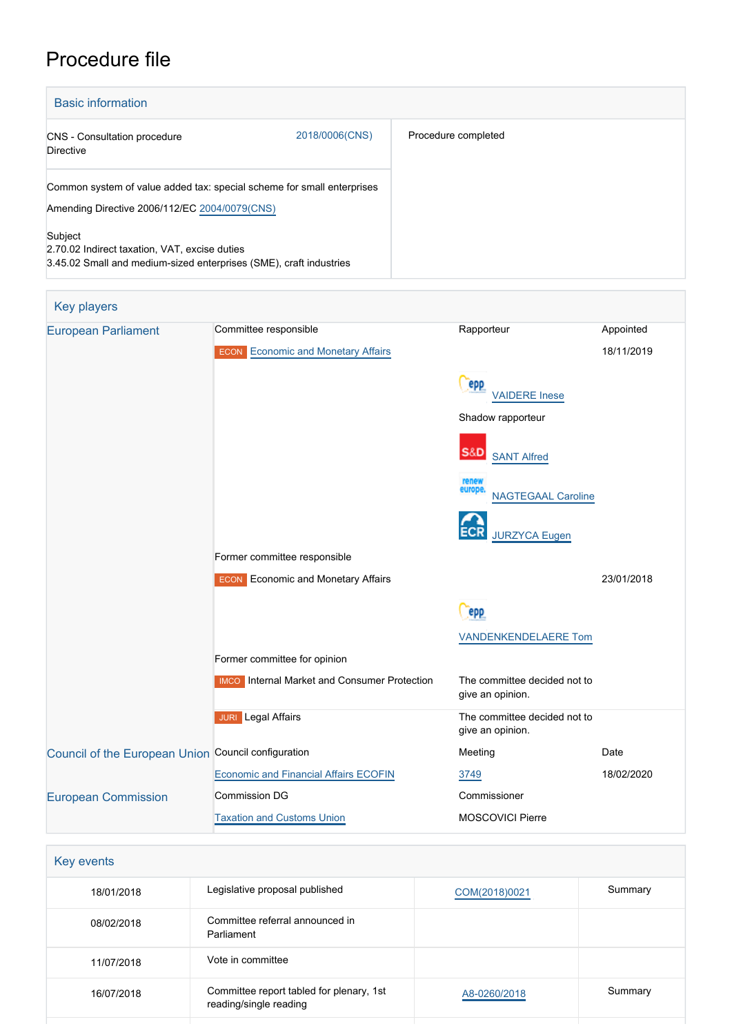# Procedure file

| <b>Basic information</b>                                                                                                       |                |                     |
|--------------------------------------------------------------------------------------------------------------------------------|----------------|---------------------|
| <b>CNS</b> - Consultation procedure<br><b>Directive</b>                                                                        | 2018/0006(CNS) | Procedure completed |
| Common system of value added tax: special scheme for small enterprises<br>Amending Directive 2006/112/EC 2004/0079(CNS)        |                |                     |
| Subject<br>2.70.02 Indirect taxation, VAT, excise duties<br>3.45.02 Small and medium-sized enterprises (SME), craft industries |                |                     |



| Legislative proposal published                                     | COM(2018)0021 | Summary |
|--------------------------------------------------------------------|---------------|---------|
| Committee referral announced in<br>Parliament                      |               |         |
| Vote in committee                                                  |               |         |
| Committee report tabled for plenary, 1st<br>reading/single reading | A8-0260/2018  | Summary |
|                                                                    |               |         |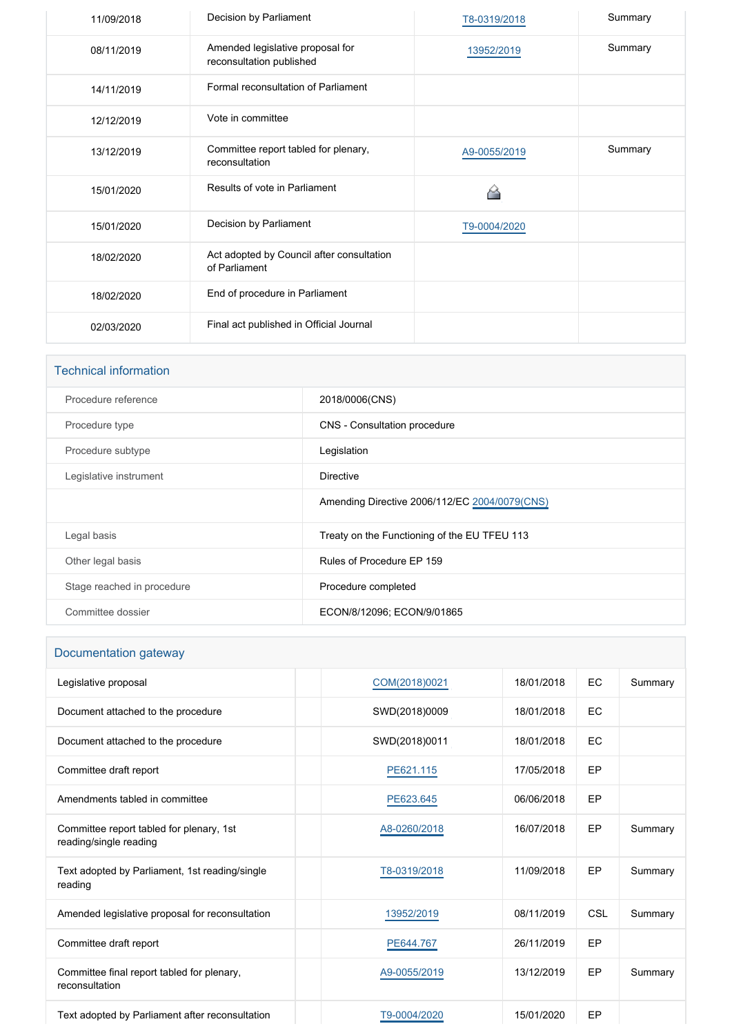| 11/09/2018 | Decision by Parliament                                       | T8-0319/2018 | Summary |
|------------|--------------------------------------------------------------|--------------|---------|
| 08/11/2019 | Amended legislative proposal for<br>reconsultation published | 13952/2019   | Summary |
| 14/11/2019 | Formal reconsultation of Parliament                          |              |         |
| 12/12/2019 | Vote in committee                                            |              |         |
| 13/12/2019 | Committee report tabled for plenary,<br>reconsultation       | A9-0055/2019 | Summary |
| 15/01/2020 | Results of vote in Parliament                                |              |         |
| 15/01/2020 | Decision by Parliament                                       | T9-0004/2020 |         |
| 18/02/2020 | Act adopted by Council after consultation<br>of Parliament   |              |         |
| 18/02/2020 | End of procedure in Parliament                               |              |         |
| 02/03/2020 | Final act published in Official Journal                      |              |         |

| <b>Technical information</b> |                                               |
|------------------------------|-----------------------------------------------|
| Procedure reference          | 2018/0006(CNS)                                |
| Procedure type               | CNS - Consultation procedure                  |
| Procedure subtype            | Legislation                                   |
| Legislative instrument       | <b>Directive</b>                              |
|                              | Amending Directive 2006/112/EC 2004/0079(CNS) |
| Legal basis                  | Treaty on the Functioning of the EU TFEU 113  |
| Other legal basis            | Rules of Procedure EP 159                     |
| Stage reached in procedure   | Procedure completed                           |
| Committee dossier            | ECON/8/12096; ECON/9/01865                    |

## Documentation gateway

| Legislative proposal                                               | COM(2018)0021 | 18/01/2018 | EC  | Summary |
|--------------------------------------------------------------------|---------------|------------|-----|---------|
| Document attached to the procedure                                 | SWD(2018)0009 | 18/01/2018 | EC  |         |
| Document attached to the procedure                                 | SWD(2018)0011 | 18/01/2018 | EC  |         |
| Committee draft report                                             | PE621.115     | 17/05/2018 | EP  |         |
| Amendments tabled in committee                                     | PE623.645     | 06/06/2018 | EP  |         |
| Committee report tabled for plenary, 1st<br>reading/single reading | A8-0260/2018  | 16/07/2018 | EP  | Summary |
| Text adopted by Parliament, 1st reading/single<br>reading          | T8-0319/2018  | 11/09/2018 | EP  | Summary |
| Amended legislative proposal for reconsultation                    | 13952/2019    | 08/11/2019 | CSL | Summary |
| Committee draft report                                             | PE644.767     | 26/11/2019 | EP  |         |
| Committee final report tabled for plenary,<br>reconsultation       | A9-0055/2019  | 13/12/2019 | EP  | Summary |
| Text adopted by Parliament after reconsultation                    | T9-0004/2020  | 15/01/2020 | EP  |         |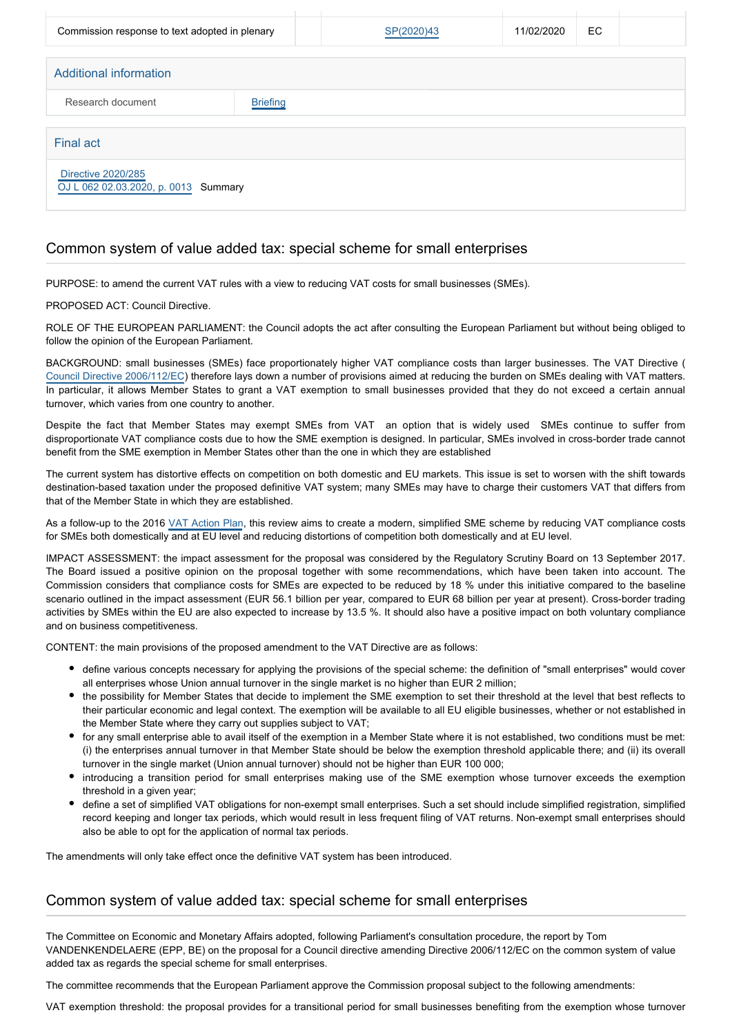| Commission response to text adopted in plenary                    |                 | SP(2020)43 | 11/02/2020 | EC |  |
|-------------------------------------------------------------------|-----------------|------------|------------|----|--|
| Additional information                                            |                 |            |            |    |  |
| Research document                                                 | <b>Briefing</b> |            |            |    |  |
| <b>Final act</b>                                                  |                 |            |            |    |  |
| <b>Directive 2020/285</b><br>OJ L 062 02.03.2020, p. 0013 Summary |                 |            |            |    |  |

#### Common system of value added tax: special scheme for small enterprises

PURPOSE: to amend the current VAT rules with a view to reducing VAT costs for small businesses (SMEs).

PROPOSED ACT: Council Directive.

ROLE OF THE EUROPEAN PARLIAMENT: the Council adopts the act after consulting the European Parliament but without being obliged to follow the opinion of the European Parliament.

BACKGROUND: small businesses (SMEs) face proportionately higher VAT compliance costs than larger businesses. The VAT Directive ( [Council Directive 2006/112/EC](http://eur-lex.europa.eu/legal-content/EN/TXT/?qid=1517502935393&uri=CELEX:02006L0112-20160601)) therefore lays down a number of provisions aimed at reducing the burden on SMEs dealing with VAT matters. In particular, it allows Member States to grant a VAT exemption to small businesses provided that they do not exceed a certain annual turnover, which varies from one country to another.

Despite the fact that Member States may exempt SMEs from VAT an option that is widely used SMEs continue to suffer from disproportionate VAT compliance costs due to how the SME exemption is designed. In particular, SMEs involved in cross-border trade cannot benefit from the SME exemption in Member States other than the one in which they are established

The current system has distortive effects on competition on both domestic and EU markets. This issue is set to worsen with the shift towards destination-based taxation under the proposed definitive VAT system; many SMEs may have to charge their customers VAT that differs from that of the Member State in which they are established.

As a follow-up to the 2016 [VAT Action Plan](http://eur-lex.europa.eu/legal-content/EN/TXT/PDF/?uri=CELEX:52016DC0148&rid=1), this review aims to create a modern, simplified SME scheme by reducing VAT compliance costs for SMEs both domestically and at EU level and reducing distortions of competition both domestically and at EU level.

IMPACT ASSESSMENT: the impact assessment for the proposal was considered by the Regulatory Scrutiny Board on 13 September 2017. The Board issued a positive opinion on the proposal together with some recommendations, which have been taken into account. The Commission considers that compliance costs for SMEs are expected to be reduced by 18 % under this initiative compared to the baseline scenario outlined in the impact assessment (EUR 56.1 billion per year, compared to EUR 68 billion per year at present). Cross-border trading activities by SMEs within the EU are also expected to increase by 13.5 %. It should also have a positive impact on both voluntary compliance and on business competitiveness.

CONTENT: the main provisions of the proposed amendment to the VAT Directive are as follows:

- define various concepts necessary for applying the provisions of the special scheme: the definition of "small enterprises" would cover all enterprises whose Union annual turnover in the single market is no higher than EUR 2 million;
- the possibility for Member States that decide to implement the SME exemption to set their threshold at the level that best reflects to their particular economic and legal context. The exemption will be available to all EU eligible businesses, whether or not established in the Member State where they carry out supplies subject to VAT;
- for any small enterprise able to avail itself of the exemption in a Member State where it is not established, two conditions must be met: (i) the enterprises annual turnover in that Member State should be below the exemption threshold applicable there; and (ii) its overall turnover in the single market (Union annual turnover) should not be higher than EUR 100 000;
- introducing a transition period for small enterprises making use of the SME exemption whose turnover exceeds the exemption threshold in a given year;
- define a set of simplified VAT obligations for non-exempt small enterprises. Such a set should include simplified registration, simplified record keeping and longer tax periods, which would result in less frequent filing of VAT returns. Non-exempt small enterprises should also be able to opt for the application of normal tax periods.

The amendments will only take effect once the definitive VAT system has been introduced.

#### Common system of value added tax: special scheme for small enterprises

The Committee on Economic and Monetary Affairs adopted, following Parliament's consultation procedure, the report by Tom VANDENKENDELAERE (EPP, BE) on the proposal for a Council directive amending Directive 2006/112/EC on the common system of value added tax as regards the special scheme for small enterprises.

The committee recommends that the European Parliament approve the Commission proposal subject to the following amendments:

VAT exemption threshold: the proposal provides for a transitional period for small businesses benefiting from the exemption whose turnover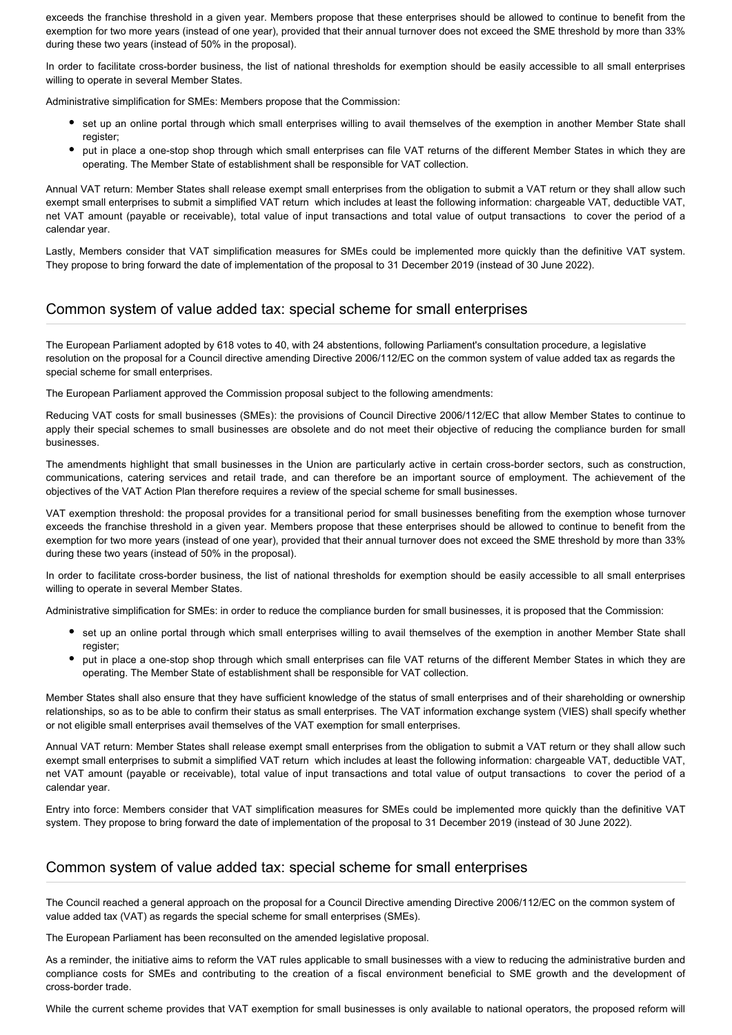exceeds the franchise threshold in a given year. Members propose that these enterprises should be allowed to continue to benefit from the exemption for two more years (instead of one year), provided that their annual turnover does not exceed the SME threshold by more than 33% during these two years (instead of 50% in the proposal).

In order to facilitate cross-border business, the list of national thresholds for exemption should be easily accessible to all small enterprises willing to operate in several Member States.

Administrative simplification for SMEs: Members propose that the Commission:

- set up an online portal through which small enterprises willing to avail themselves of the exemption in another Member State shall register;
- put in place a one-stop shop through which small enterprises can file VAT returns of the different Member States in which they are operating. The Member State of establishment shall be responsible for VAT collection.

Annual VAT return: Member States shall release exempt small enterprises from the obligation to submit a VAT return or they shall allow such exempt small enterprises to submit a simplified VAT return which includes at least the following information: chargeable VAT, deductible VAT, net VAT amount (payable or receivable), total value of input transactions and total value of output transactions to cover the period of a calendar year.

Lastly, Members consider that VAT simplification measures for SMEs could be implemented more quickly than the definitive VAT system. They propose to bring forward the date of implementation of the proposal to 31 December 2019 (instead of 30 June 2022).

#### Common system of value added tax: special scheme for small enterprises

The European Parliament adopted by 618 votes to 40, with 24 abstentions, following Parliament's consultation procedure, a legislative resolution on the proposal for a Council directive amending Directive 2006/112/EC on the common system of value added tax as regards the special scheme for small enterprises.

The European Parliament approved the Commission proposal subject to the following amendments:

Reducing VAT costs for small businesses (SMEs): the provisions of Council Directive 2006/112/EC that allow Member States to continue to apply their special schemes to small businesses are obsolete and do not meet their objective of reducing the compliance burden for small businesses.

The amendments highlight that small businesses in the Union are particularly active in certain cross-border sectors, such as construction, communications, catering services and retail trade, and can therefore be an important source of employment. The achievement of the objectives of the VAT Action Plan therefore requires a review of the special scheme for small businesses.

VAT exemption threshold: the proposal provides for a transitional period for small businesses benefiting from the exemption whose turnover exceeds the franchise threshold in a given year. Members propose that these enterprises should be allowed to continue to benefit from the exemption for two more years (instead of one year), provided that their annual turnover does not exceed the SME threshold by more than 33% during these two years (instead of 50% in the proposal).

In order to facilitate cross-border business, the list of national thresholds for exemption should be easily accessible to all small enterprises willing to operate in several Member States.

Administrative simplification for SMEs: in order to reduce the compliance burden for small businesses, it is proposed that the Commission:

- set up an online portal through which small enterprises willing to avail themselves of the exemption in another Member State shall register;
- put in place a one-stop shop through which small enterprises can file VAT returns of the different Member States in which they are operating. The Member State of establishment shall be responsible for VAT collection.

Member States shall also ensure that they have sufficient knowledge of the status of small enterprises and of their shareholding or ownership relationships, so as to be able to confirm their status as small enterprises. The VAT information exchange system (VIES) shall specify whether or not eligible small enterprises avail themselves of the VAT exemption for small enterprises.

Annual VAT return: Member States shall release exempt small enterprises from the obligation to submit a VAT return or they shall allow such exempt small enterprises to submit a simplified VAT return which includes at least the following information: chargeable VAT, deductible VAT, net VAT amount (payable or receivable), total value of input transactions and total value of output transactions to cover the period of a calendar year.

Entry into force: Members consider that VAT simplification measures for SMEs could be implemented more quickly than the definitive VAT system. They propose to bring forward the date of implementation of the proposal to 31 December 2019 (instead of 30 June 2022).

### Common system of value added tax: special scheme for small enterprises

The Council reached a general approach on the proposal for a Council Directive amending Directive 2006/112/EC on the common system of value added tax (VAT) as regards the special scheme for small enterprises (SMEs).

The European Parliament has been reconsulted on the amended legislative proposal.

As a reminder, the initiative aims to reform the VAT rules applicable to small businesses with a view to reducing the administrative burden and compliance costs for SMEs and contributing to the creation of a fiscal environment beneficial to SME growth and the development of cross-border trade.

While the current scheme provides that VAT exemption for small businesses is only available to national operators, the proposed reform will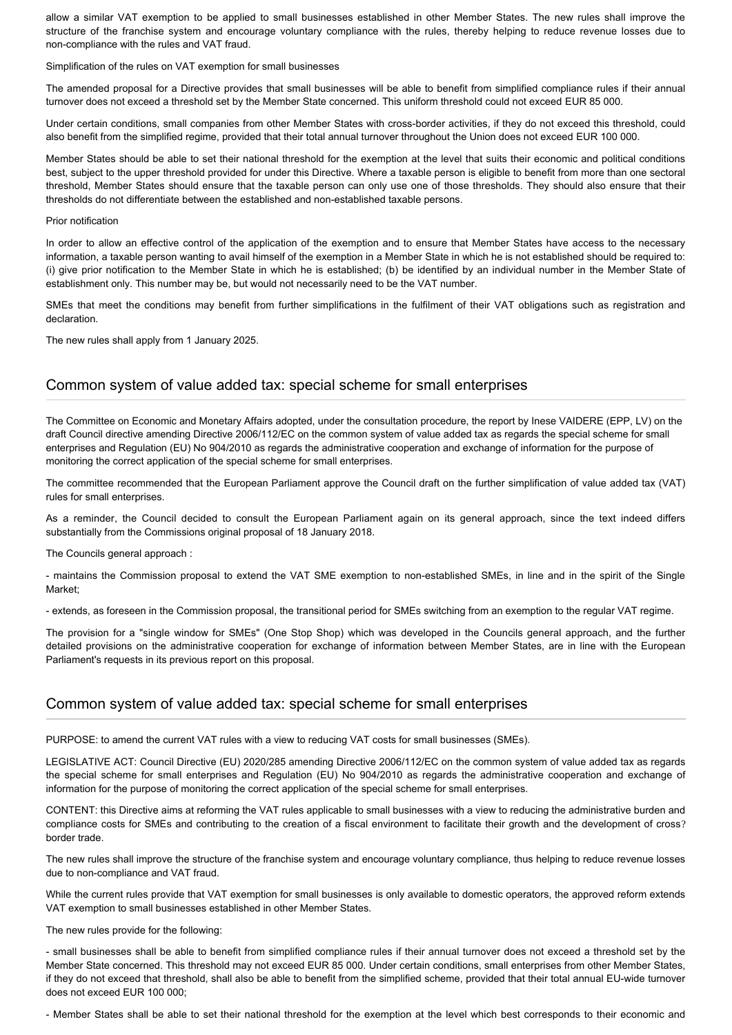allow a similar VAT exemption to be applied to small businesses established in other Member States. The new rules shall improve the structure of the franchise system and encourage voluntary compliance with the rules, thereby helping to reduce revenue losses due to non-compliance with the rules and VAT fraud.

Simplification of the rules on VAT exemption for small businesses

The amended proposal for a Directive provides that small businesses will be able to benefit from simplified compliance rules if their annual turnover does not exceed a threshold set by the Member State concerned. This uniform threshold could not exceed EUR 85 000.

Under certain conditions, small companies from other Member States with cross-border activities, if they do not exceed this threshold, could also benefit from the simplified regime, provided that their total annual turnover throughout the Union does not exceed EUR 100 000.

Member States should be able to set their national threshold for the exemption at the level that suits their economic and political conditions best, subject to the upper threshold provided for under this Directive. Where a taxable person is eligible to benefit from more than one sectoral threshold, Member States should ensure that the taxable person can only use one of those thresholds. They should also ensure that their thresholds do not differentiate between the established and non-established taxable persons.

#### Prior notification

In order to allow an effective control of the application of the exemption and to ensure that Member States have access to the necessary information, a taxable person wanting to avail himself of the exemption in a Member State in which he is not established should be required to: (i) give prior notification to the Member State in which he is established; (b) be identified by an individual number in the Member State of establishment only. This number may be, but would not necessarily need to be the VAT number.

SMEs that meet the conditions may benefit from further simplifications in the fulfilment of their VAT obligations such as registration and declaration.

The new rules shall apply from 1 January 2025.

#### Common system of value added tax: special scheme for small enterprises

The Committee on Economic and Monetary Affairs adopted, under the consultation procedure, the report by Inese VAIDERE (EPP, LV) on the draft Council directive amending Directive 2006/112/EC on the common system of value added tax as regards the special scheme for small enterprises and Regulation (EU) No 904/2010 as regards the administrative cooperation and exchange of information for the purpose of monitoring the correct application of the special scheme for small enterprises.

The committee recommended that the European Parliament approve the Council draft on the further simplification of value added tax (VAT) rules for small enterprises.

As a reminder, the Council decided to consult the European Parliament again on its general approach, since the text indeed differs substantially from the Commissions original proposal of 18 January 2018.

The Councils general approach :

- maintains the Commission proposal to extend the VAT SME exemption to non-established SMEs, in line and in the spirit of the Single Market;

- extends, as foreseen in the Commission proposal, the transitional period for SMEs switching from an exemption to the regular VAT regime.

The provision for a "single window for SMEs" (One Stop Shop) which was developed in the Councils general approach, and the further detailed provisions on the administrative cooperation for exchange of information between Member States, are in line with the European Parliament's requests in its previous report on this proposal.

#### Common system of value added tax: special scheme for small enterprises

PURPOSE: to amend the current VAT rules with a view to reducing VAT costs for small businesses (SMEs).

LEGISLATIVE ACT: Council Directive (EU) 2020/285 amending Directive 2006/112/EC on the common system of value added tax as regards the special scheme for small enterprises and Regulation (EU) No 904/2010 as regards the administrative cooperation and exchange of information for the purpose of monitoring the correct application of the special scheme for small enterprises.

CONTENT: this Directive aims at reforming the VAT rules applicable to small businesses with a view to reducing the administrative burden and compliance costs for SMEs and contributing to the creation of a fiscal environment to facilitate their growth and the development of cross? border trade.

The new rules shall improve the structure of the franchise system and encourage voluntary compliance, thus helping to reduce revenue losses due to non-compliance and VAT fraud.

While the current rules provide that VAT exemption for small businesses is only available to domestic operators, the approved reform extends VAT exemption to small businesses established in other Member States.

The new rules provide for the following:

- small businesses shall be able to benefit from simplified compliance rules if their annual turnover does not exceed a threshold set by the Member State concerned. This threshold may not exceed EUR 85 000. Under certain conditions, small enterprises from other Member States, if they do not exceed that threshold, shall also be able to benefit from the simplified scheme, provided that their total annual EU-wide turnover does not exceed EUR 100 000;

- Member States shall be able to set their national threshold for the exemption at the level which best corresponds to their economic and